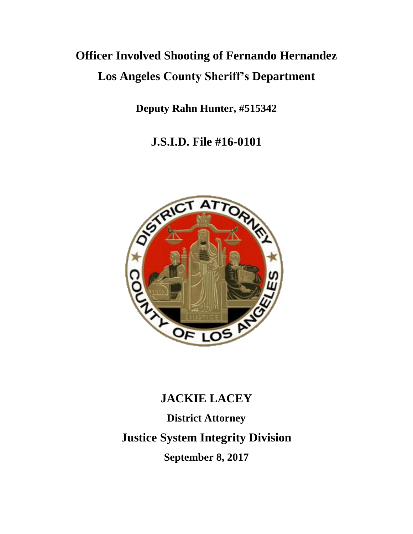# **Officer Involved Shooting of Fernando Hernandez Los Angeles County Sheriff's Department**

**Deputy Rahn Hunter, #515342**

**J.S.I.D. File #16-0101**



# **JACKIE LACEY**

**District Attorney Justice System Integrity Division September 8, 2017**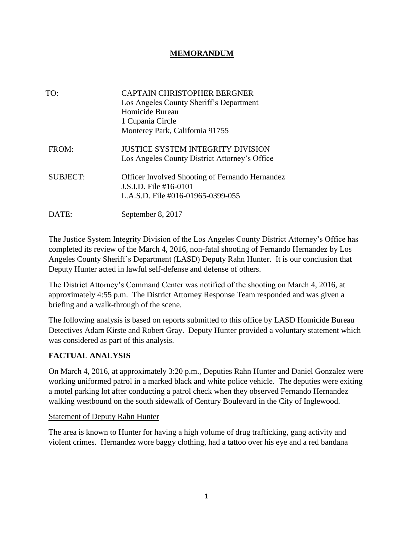#### **MEMORANDUM**

| TO:             | <b>CAPTAIN CHRISTOPHER BERGNER</b><br>Los Angeles County Sheriff's Department<br>Homicide Bureau<br>1 Cupania Circle<br>Monterey Park, California 91755 |
|-----------------|---------------------------------------------------------------------------------------------------------------------------------------------------------|
| FROM:           | <b>JUSTICE SYSTEM INTEGRITY DIVISION</b><br>Los Angeles County District Attorney's Office                                                               |
| <b>SUBJECT:</b> | <b>Officer Involved Shooting of Fernando Hernandez</b><br>J.S.I.D. File #16-0101<br>L.A.S.D. File #016-01965-0399-055                                   |
| ATE:            | September 8, 2017                                                                                                                                       |

The Justice System Integrity Division of the Los Angeles County District Attorney's Office has completed its review of the March 4, 2016, non-fatal shooting of Fernando Hernandez by Los Angeles County Sheriff's Department (LASD) Deputy Rahn Hunter. It is our conclusion that Deputy Hunter acted in lawful self-defense and defense of others.

The District Attorney's Command Center was notified of the shooting on March 4, 2016, at approximately 4:55 p.m. The District Attorney Response Team responded and was given a briefing and a walk-through of the scene.

The following analysis is based on reports submitted to this office by LASD Homicide Bureau Detectives Adam Kirste and Robert Gray. Deputy Hunter provided a voluntary statement which was considered as part of this analysis.

## **FACTUAL ANALYSIS**

On March 4, 2016, at approximately 3:20 p.m., Deputies Rahn Hunter and Daniel Gonzalez were working uniformed patrol in a marked black and white police vehicle. The deputies were exiting a motel parking lot after conducting a patrol check when they observed Fernando Hernandez walking westbound on the south sidewalk of Century Boulevard in the City of Inglewood.

#### Statement of Deputy Rahn Hunter

The area is known to Hunter for having a high volume of drug trafficking, gang activity and violent crimes. Hernandez wore baggy clothing, had a tattoo over his eye and a red bandana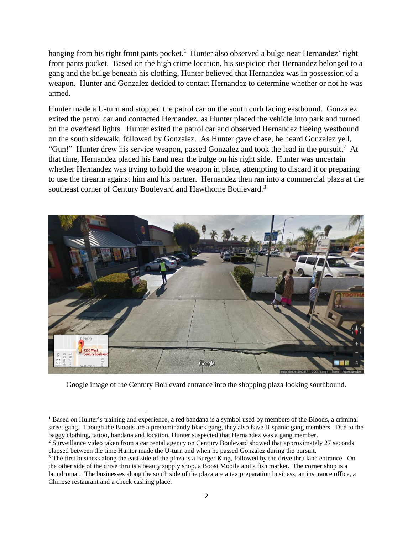hanging from his right front pants pocket.<sup>1</sup> Hunter also observed a bulge near Hernandez' right front pants pocket. Based on the high crime location, his suspicion that Hernandez belonged to a gang and the bulge beneath his clothing, Hunter believed that Hernandez was in possession of a weapon. Hunter and Gonzalez decided to contact Hernandez to determine whether or not he was armed.

Hunter made a U-turn and stopped the patrol car on the south curb facing eastbound. Gonzalez exited the patrol car and contacted Hernandez, as Hunter placed the vehicle into park and turned on the overhead lights. Hunter exited the patrol car and observed Hernandez fleeing westbound on the south sidewalk, followed by Gonzalez. As Hunter gave chase, he heard Gonzalez yell, "Gun!" Hunter drew his service weapon, passed Gonzalez and took the lead in the pursuit.<sup>2</sup> At that time, Hernandez placed his hand near the bulge on his right side. Hunter was uncertain whether Hernandez was trying to hold the weapon in place, attempting to discard it or preparing to use the firearm against him and his partner. Hernandez then ran into a commercial plaza at the southeast corner of Century Boulevard and Hawthorne Boulevard.<sup>3</sup>



Google image of the Century Boulevard entrance into the shopping plaza looking southbound.

<sup>1</sup> Based on Hunter's training and experience, a red bandana is a symbol used by members of the Bloods, a criminal street gang. Though the Bloods are a predominantly black gang, they also have Hispanic gang members. Due to the baggy clothing, tattoo, bandana and location, Hunter suspected that Hernandez was a gang member.

<sup>2</sup> Surveillance video taken from a car rental agency on Century Boulevard showed that approximately 27 seconds elapsed between the time Hunter made the U-turn and when he passed Gonzalez during the pursuit.

<sup>&</sup>lt;sup>3</sup> The first business along the east side of the plaza is a Burger King, followed by the drive thru lane entrance. On the other side of the drive thru is a beauty supply shop, a Boost Mobile and a fish market. The corner shop is a laundromat. The businesses along the south side of the plaza are a tax preparation business, an insurance office, a Chinese restaurant and a check cashing place.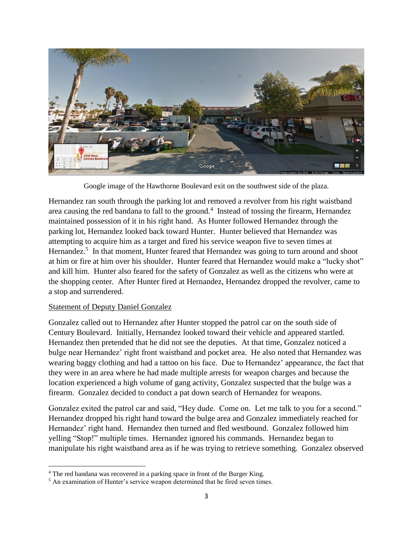

Google image of the Hawthorne Boulevard exit on the southwest side of the plaza.

Hernandez ran south through the parking lot and removed a revolver from his right waistband area causing the red bandana to fall to the ground.<sup>4</sup> Instead of tossing the firearm, Hernandez maintained possession of it in his right hand. As Hunter followed Hernandez through the parking lot, Hernandez looked back toward Hunter. Hunter believed that Hernandez was attempting to acquire him as a target and fired his service weapon five to seven times at Hernandez.<sup>5</sup> In that moment, Hunter feared that Hernandez was going to turn around and shoot at him or fire at him over his shoulder. Hunter feared that Hernandez would make a "lucky shot" and kill him. Hunter also feared for the safety of Gonzalez as well as the citizens who were at the shopping center. After Hunter fired at Hernandez, Hernandez dropped the revolver, came to a stop and surrendered.

#### Statement of Deputy Daniel Gonzalez

Gonzalez called out to Hernandez after Hunter stopped the patrol car on the south side of Century Boulevard. Initially, Hernandez looked toward their vehicle and appeared startled. Hernandez then pretended that he did not see the deputies. At that time, Gonzalez noticed a bulge near Hernandez' right front waistband and pocket area. He also noted that Hernandez was wearing baggy clothing and had a tattoo on his face. Due to Hernandez' appearance, the fact that they were in an area where he had made multiple arrests for weapon charges and because the location experienced a high volume of gang activity, Gonzalez suspected that the bulge was a firearm. Gonzalez decided to conduct a pat down search of Hernandez for weapons.

Gonzalez exited the patrol car and said, "Hey dude. Come on. Let me talk to you for a second." Hernandez dropped his right hand toward the bulge area and Gonzalez immediately reached for Hernandez' right hand. Hernandez then turned and fled westbound. Gonzalez followed him yelling "Stop!" multiple times. Hernandez ignored his commands. Hernandez began to manipulate his right waistband area as if he was trying to retrieve something. Gonzalez observed

<sup>&</sup>lt;sup>4</sup> The red bandana was recovered in a parking space in front of the Burger King.

<sup>&</sup>lt;sup>5</sup> An examination of Hunter's service weapon determined that he fired seven times.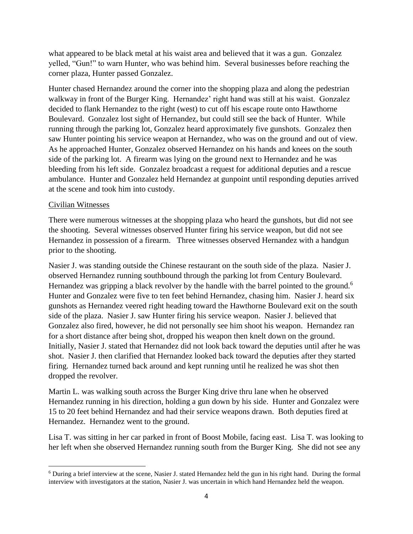what appeared to be black metal at his waist area and believed that it was a gun. Gonzalez yelled, "Gun!" to warn Hunter, who was behind him. Several businesses before reaching the corner plaza, Hunter passed Gonzalez.

Hunter chased Hernandez around the corner into the shopping plaza and along the pedestrian walkway in front of the Burger King. Hernandez' right hand was still at his waist. Gonzalez decided to flank Hernandez to the right (west) to cut off his escape route onto Hawthorne Boulevard. Gonzalez lost sight of Hernandez, but could still see the back of Hunter. While running through the parking lot, Gonzalez heard approximately five gunshots. Gonzalez then saw Hunter pointing his service weapon at Hernandez, who was on the ground and out of view. As he approached Hunter, Gonzalez observed Hernandez on his hands and knees on the south side of the parking lot. A firearm was lying on the ground next to Hernandez and he was bleeding from his left side. Gonzalez broadcast a request for additional deputies and a rescue ambulance. Hunter and Gonzalez held Hernandez at gunpoint until responding deputies arrived at the scene and took him into custody.

#### Civilian Witnesses

There were numerous witnesses at the shopping plaza who heard the gunshots, but did not see the shooting. Several witnesses observed Hunter firing his service weapon, but did not see Hernandez in possession of a firearm. Three witnesses observed Hernandez with a handgun prior to the shooting.

Nasier J. was standing outside the Chinese restaurant on the south side of the plaza. Nasier J. observed Hernandez running southbound through the parking lot from Century Boulevard. Hernandez was gripping a black revolver by the handle with the barrel pointed to the ground.<sup>6</sup> Hunter and Gonzalez were five to ten feet behind Hernandez, chasing him. Nasier J. heard six gunshots as Hernandez veered right heading toward the Hawthorne Boulevard exit on the south side of the plaza. Nasier J. saw Hunter firing his service weapon. Nasier J. believed that Gonzalez also fired, however, he did not personally see him shoot his weapon. Hernandez ran for a short distance after being shot, dropped his weapon then knelt down on the ground. Initially, Nasier J. stated that Hernandez did not look back toward the deputies until after he was shot. Nasier J. then clarified that Hernandez looked back toward the deputies after they started firing. Hernandez turned back around and kept running until he realized he was shot then dropped the revolver.

Martin L. was walking south across the Burger King drive thru lane when he observed Hernandez running in his direction, holding a gun down by his side. Hunter and Gonzalez were 15 to 20 feet behind Hernandez and had their service weapons drawn. Both deputies fired at Hernandez. Hernandez went to the ground.

Lisa T. was sitting in her car parked in front of Boost Mobile, facing east. Lisa T. was looking to her left when she observed Hernandez running south from the Burger King. She did not see any

 $6$  During a brief interview at the scene, Nasier J. stated Hernandez held the gun in his right hand. During the formal interview with investigators at the station, Nasier J. was uncertain in which hand Hernandez held the weapon.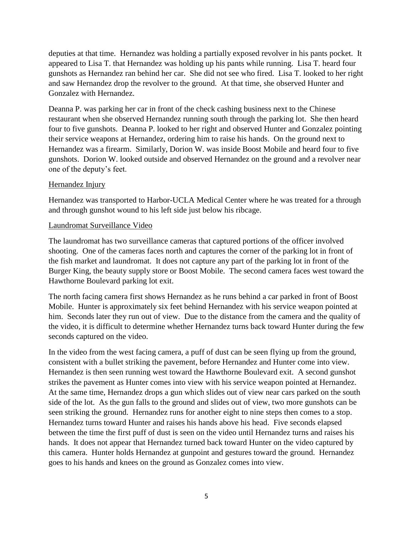deputies at that time. Hernandez was holding a partially exposed revolver in his pants pocket. It appeared to Lisa T. that Hernandez was holding up his pants while running. Lisa T. heard four gunshots as Hernandez ran behind her car. She did not see who fired. Lisa T. looked to her right and saw Hernandez drop the revolver to the ground. At that time, she observed Hunter and Gonzalez with Hernandez.

Deanna P. was parking her car in front of the check cashing business next to the Chinese restaurant when she observed Hernandez running south through the parking lot. She then heard four to five gunshots. Deanna P. looked to her right and observed Hunter and Gonzalez pointing their service weapons at Hernandez, ordering him to raise his hands. On the ground next to Hernandez was a firearm. Similarly, Dorion W. was inside Boost Mobile and heard four to five gunshots. Dorion W. looked outside and observed Hernandez on the ground and a revolver near one of the deputy's feet.

#### Hernandez Injury

Hernandez was transported to Harbor-UCLA Medical Center where he was treated for a through and through gunshot wound to his left side just below his ribcage.

#### Laundromat Surveillance Video

The laundromat has two surveillance cameras that captured portions of the officer involved shooting. One of the cameras faces north and captures the corner of the parking lot in front of the fish market and laundromat. It does not capture any part of the parking lot in front of the Burger King, the beauty supply store or Boost Mobile. The second camera faces west toward the Hawthorne Boulevard parking lot exit.

The north facing camera first shows Hernandez as he runs behind a car parked in front of Boost Mobile. Hunter is approximately six feet behind Hernandez with his service weapon pointed at him. Seconds later they run out of view. Due to the distance from the camera and the quality of the video, it is difficult to determine whether Hernandez turns back toward Hunter during the few seconds captured on the video.

In the video from the west facing camera, a puff of dust can be seen flying up from the ground, consistent with a bullet striking the pavement, before Hernandez and Hunter come into view. Hernandez is then seen running west toward the Hawthorne Boulevard exit. A second gunshot strikes the pavement as Hunter comes into view with his service weapon pointed at Hernandez. At the same time, Hernandez drops a gun which slides out of view near cars parked on the south side of the lot. As the gun falls to the ground and slides out of view, two more gunshots can be seen striking the ground. Hernandez runs for another eight to nine steps then comes to a stop. Hernandez turns toward Hunter and raises his hands above his head. Five seconds elapsed between the time the first puff of dust is seen on the video until Hernandez turns and raises his hands. It does not appear that Hernandez turned back toward Hunter on the video captured by this camera. Hunter holds Hernandez at gunpoint and gestures toward the ground. Hernandez goes to his hands and knees on the ground as Gonzalez comes into view.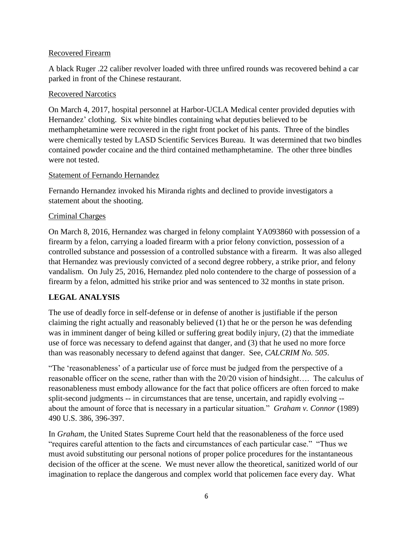#### Recovered Firearm

A black Ruger .22 caliber revolver loaded with three unfired rounds was recovered behind a car parked in front of the Chinese restaurant.

#### Recovered Narcotics

On March 4, 2017, hospital personnel at Harbor-UCLA Medical center provided deputies with Hernandez' clothing. Six white bindles containing what deputies believed to be methamphetamine were recovered in the right front pocket of his pants. Three of the bindles were chemically tested by LASD Scientific Services Bureau. It was determined that two bindles contained powder cocaine and the third contained methamphetamine. The other three bindles were not tested.

#### Statement of Fernando Hernandez

Fernando Hernandez invoked his Miranda rights and declined to provide investigators a statement about the shooting.

#### Criminal Charges

On March 8, 2016, Hernandez was charged in felony complaint YA093860 with possession of a firearm by a felon, carrying a loaded firearm with a prior felony conviction, possession of a controlled substance and possession of a controlled substance with a firearm. It was also alleged that Hernandez was previously convicted of a second degree robbery, a strike prior, and felony vandalism. On July 25, 2016, Hernandez pled nolo contendere to the charge of possession of a firearm by a felon, admitted his strike prior and was sentenced to 32 months in state prison.

#### **LEGAL ANALYSIS**

The use of deadly force in self-defense or in defense of another is justifiable if the person claiming the right actually and reasonably believed (1) that he or the person he was defending was in imminent danger of being killed or suffering great bodily injury, (2) that the immediate use of force was necessary to defend against that danger, and (3) that he used no more force than was reasonably necessary to defend against that danger. See, *CALCRIM No. 505*.

"The 'reasonableness' of a particular use of force must be judged from the perspective of a reasonable officer on the scene, rather than with the 20/20 vision of hindsight…. The calculus of reasonableness must embody allowance for the fact that police officers are often forced to make split-second judgments -- in circumstances that are tense, uncertain, and rapidly evolving - about the amount of force that is necessary in a particular situation." *Graham v. Connor* (1989) 490 U.S. 386, 396-397.

In *Graham*, the United States Supreme Court held that the reasonableness of the force used "requires careful attention to the facts and circumstances of each particular case." "Thus we must avoid substituting our personal notions of proper police procedures for the instantaneous decision of the officer at the scene. We must never allow the theoretical, sanitized world of our imagination to replace the dangerous and complex world that policemen face every day. What